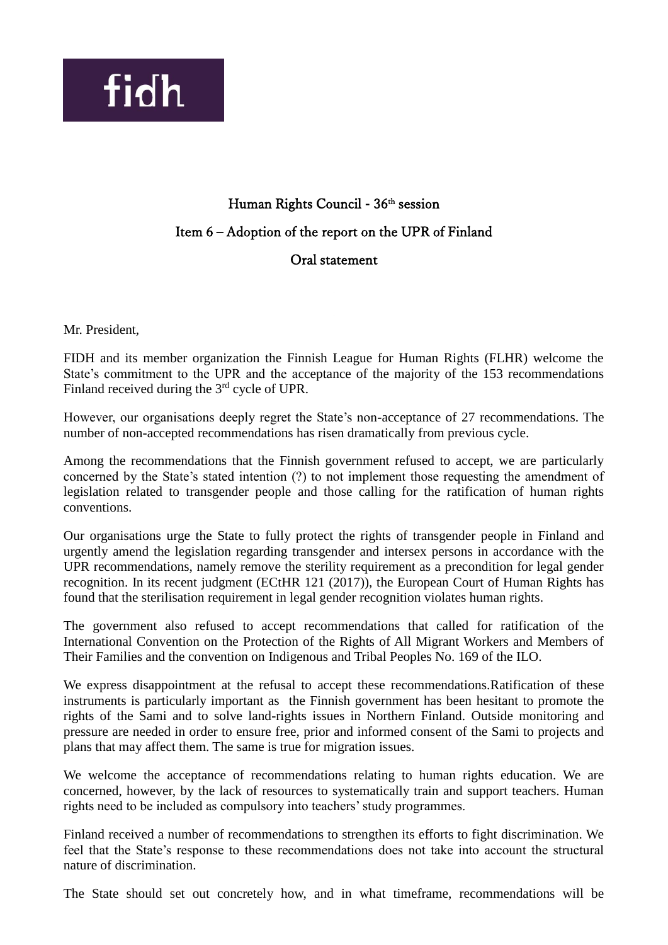

## Human Rights Council - 36<sup>th</sup> session Item 6 – Adoption of the report on the UPR of Finland Oral statement

Mr. President,

FIDH and its member organization the Finnish League for Human Rights (FLHR) welcome the State's commitment to the UPR and the acceptance of the majority of the 153 recommendations Finland received during the 3<sup>rd</sup> cycle of UPR.

However, our organisations deeply regret the State's non-acceptance of 27 recommendations. The number of non-accepted recommendations has risen dramatically from previous cycle.

Among the recommendations that the Finnish government refused to accept, we are particularly concerned by the State's stated intention (?) to not implement those requesting the amendment of legislation related to transgender people and those calling for the ratification of human rights conventions.

Our organisations urge the State to fully protect the rights of transgender people in Finland and urgently amend the legislation regarding transgender and intersex persons in accordance with the UPR recommendations, namely remove the sterility requirement as a precondition for legal gender recognition. In its recent judgment (ECtHR 121 (2017)), the European Court of Human Rights has found that the sterilisation requirement in legal gender recognition violates human rights.

The government also refused to accept recommendations that called for ratification of the International Convention on the Protection of the Rights of All Migrant Workers and Members of Their Families and the convention on Indigenous and Tribal Peoples No. 169 of the ILO.

We express disappointment at the refusal to accept these recommendations.Ratification of these instruments is particularly important as the Finnish government has been hesitant to promote the rights of the Sami and to solve land-rights issues in Northern Finland. Outside monitoring and pressure are needed in order to ensure free, prior and informed consent of the Sami to projects and plans that may affect them. The same is true for migration issues.

We welcome the acceptance of recommendations relating to human rights education. We are concerned, however, by the lack of resources to systematically train and support teachers. Human rights need to be included as compulsory into teachers' study programmes.

Finland received a number of recommendations to strengthen its efforts to fight discrimination. We feel that the State's response to these recommendations does not take into account the structural nature of discrimination.

The State should set out concretely how, and in what timeframe, recommendations will be